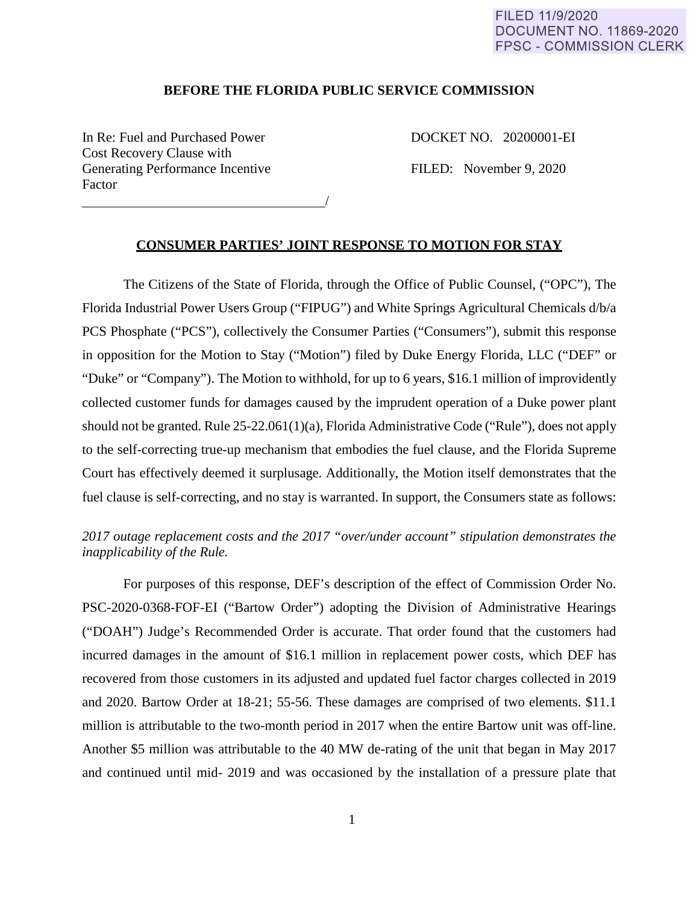#### FILED 11/9/2020 **DOCUMENT NO. 11869-2020 FPSC - COMMISSION CLERK**

#### **BEFORE THE FLORIDA PUBLIC SERVICE COMMISSION**

In Re: Fuel and Purchased Power DOCKET NO. 20200001-EI Cost Recovery Clause with Generating Performance Incentive FILED: November 9, 2020 Factor

<u>/</u>

#### **CONSUMER PARTIES' JOINT RESPONSE TO MOTION FOR STAY**

The Citizens of the State of Florida, through the Office of Public Counsel, ("OPC"), The Florida Industrial Power Users Group ("FIPUG") and White Springs Agricultural Chemicals d/b/a PCS Phosphate ("PCS"), collectively the Consumer Parties ("Consumers"), submit this response in opposition for the Motion to Stay ("Motion") filed by Duke Energy Florida, LLC ("DEF" or "Duke" or "Company"). The Motion to withhold, for up to 6 years, \$16.1 million of improvidently collected customer funds for damages caused by the imprudent operation of a Duke power plant should not be granted. Rule 25-22.061(1)(a), Florida Administrative Code ("Rule"), does not apply to the self-correcting true-up mechanism that embodies the fuel clause, and the Florida Supreme Court has effectively deemed it surplusage. Additionally, the Motion itself demonstrates that the fuel clause is self-correcting, and no stay is warranted. In support, the Consumers state as follows:

## *2017 outage replacement costs and the 2017 "over/under account" stipulation demonstrates the inapplicability of the Rule.*

For purposes of this response, DEF's description of the effect of Commission Order No. PSC-2020-0368-FOF-EI ("Bartow Order") adopting the Division of Administrative Hearings ("DOAH") Judge's Recommended Order is accurate. That order found that the customers had incurred damages in the amount of \$16.1 million in replacement power costs, which DEF has recovered from those customers in its adjusted and updated fuel factor charges collected in 2019 and 2020. Bartow Order at 18-21; 55-56. These damages are comprised of two elements. \$11.1 million is attributable to the two-month period in 2017 when the entire Bartow unit was off-line. Another \$5 million was attributable to the 40 MW de-rating of the unit that began in May 2017 and continued until mid- 2019 and was occasioned by the installation of a pressure plate that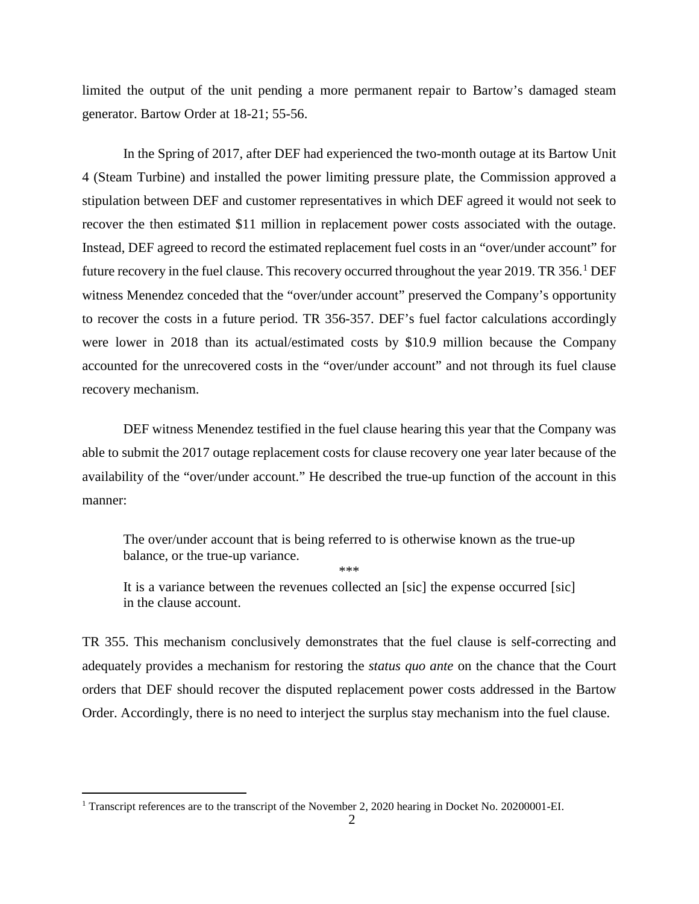limited the output of the unit pending a more permanent repair to Bartow's damaged steam generator. Bartow Order at 18-21; 55-56.

In the Spring of 2017, after DEF had experienced the two-month outage at its Bartow Unit 4 (Steam Turbine) and installed the power limiting pressure plate, the Commission approved a stipulation between DEF and customer representatives in which DEF agreed it would not seek to recover the then estimated \$11 million in replacement power costs associated with the outage. Instead, DEF agreed to record the estimated replacement fuel costs in an "over/under account" for future recovery in the fuel clause. This recovery occurred throughout the year 20[1](#page-1-0)9. TR 356.<sup>1</sup> DEF witness Menendez conceded that the "over/under account" preserved the Company's opportunity to recover the costs in a future period. TR 356-357. DEF's fuel factor calculations accordingly were lower in 2018 than its actual/estimated costs by \$10.9 million because the Company accounted for the unrecovered costs in the "over/under account" and not through its fuel clause recovery mechanism.

DEF witness Menendez testified in the fuel clause hearing this year that the Company was able to submit the 2017 outage replacement costs for clause recovery one year later because of the availability of the "over/under account." He described the true-up function of the account in this manner:

The over/under account that is being referred to is otherwise known as the true-up balance, or the true-up variance. \*\*\*

It is a variance between the revenues collected an [sic] the expense occurred [sic] in the clause account.

TR 355. This mechanism conclusively demonstrates that the fuel clause is self-correcting and adequately provides a mechanism for restoring the *status quo ante* on the chance that the Court orders that DEF should recover the disputed replacement power costs addressed in the Bartow Order. Accordingly, there is no need to interject the surplus stay mechanism into the fuel clause.

 $\overline{a}$ 

<span id="page-1-0"></span><sup>&</sup>lt;sup>1</sup> Transcript references are to the transcript of the November 2, 2020 hearing in Docket No. 20200001-EI.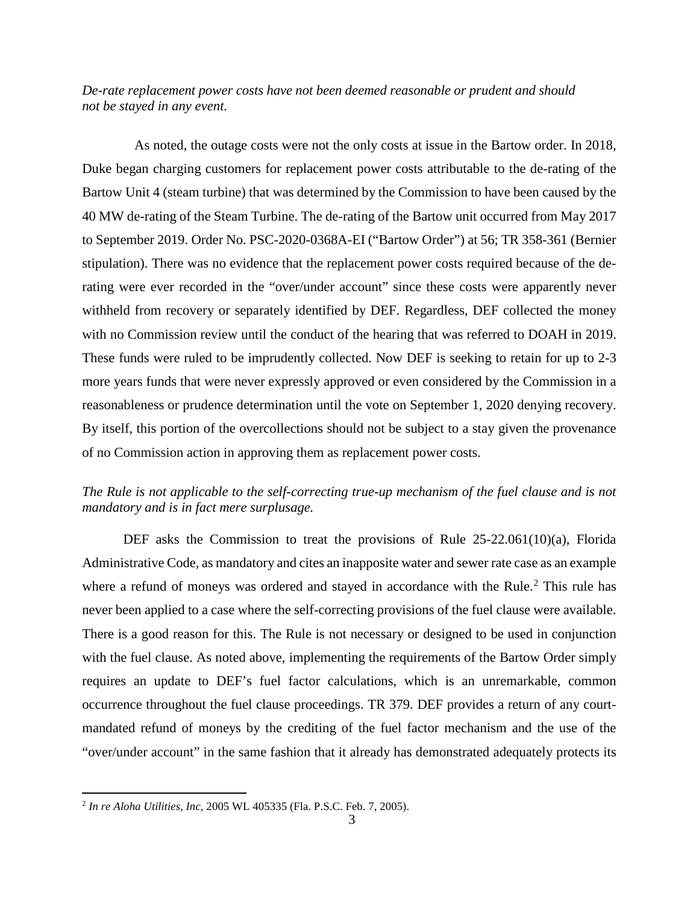*De-rate replacement power costs have not been deemed reasonable or prudent and should not be stayed in any event.* 

As noted, the outage costs were not the only costs at issue in the Bartow order. In 2018, Duke began charging customers for replacement power costs attributable to the de-rating of the Bartow Unit 4 (steam turbine) that was determined by the Commission to have been caused by the 40 MW de-rating of the Steam Turbine. The de-rating of the Bartow unit occurred from May 2017 to September 2019. Order No. PSC-2020-0368A-EI ("Bartow Order") at 56; TR 358-361 (Bernier stipulation). There was no evidence that the replacement power costs required because of the derating were ever recorded in the "over/under account" since these costs were apparently never withheld from recovery or separately identified by DEF. Regardless, DEF collected the money with no Commission review until the conduct of the hearing that was referred to DOAH in 2019. These funds were ruled to be imprudently collected. Now DEF is seeking to retain for up to 2-3 more years funds that were never expressly approved or even considered by the Commission in a reasonableness or prudence determination until the vote on September 1, 2020 denying recovery. By itself, this portion of the overcollections should not be subject to a stay given the provenance of no Commission action in approving them as replacement power costs.

## *The Rule is not applicable to the self-correcting true-up mechanism of the fuel clause and is not mandatory and is in fact mere surplusage.*

DEF asks the Commission to treat the provisions of Rule 25-22.061(10)(a), Florida Administrative Code, as mandatory and cites an inapposite water and sewer rate case as an example where a refund of moneys was ordered and stayed in accordance with the Rule.<sup>[2](#page-2-0)</sup> This rule has never been applied to a case where the self-correcting provisions of the fuel clause were available. There is a good reason for this. The Rule is not necessary or designed to be used in conjunction with the fuel clause. As noted above, implementing the requirements of the Bartow Order simply requires an update to DEF's fuel factor calculations, which is an unremarkable, common occurrence throughout the fuel clause proceedings. TR 379. DEF provides a return of any courtmandated refund of moneys by the crediting of the fuel factor mechanism and the use of the "over/under account" in the same fashion that it already has demonstrated adequately protects its

 $\overline{a}$ 

<span id="page-2-0"></span><sup>2</sup> *In re Aloha Utilities, Inc*, 2005 WL 405335 (Fla. P.S.C. Feb. 7, 2005).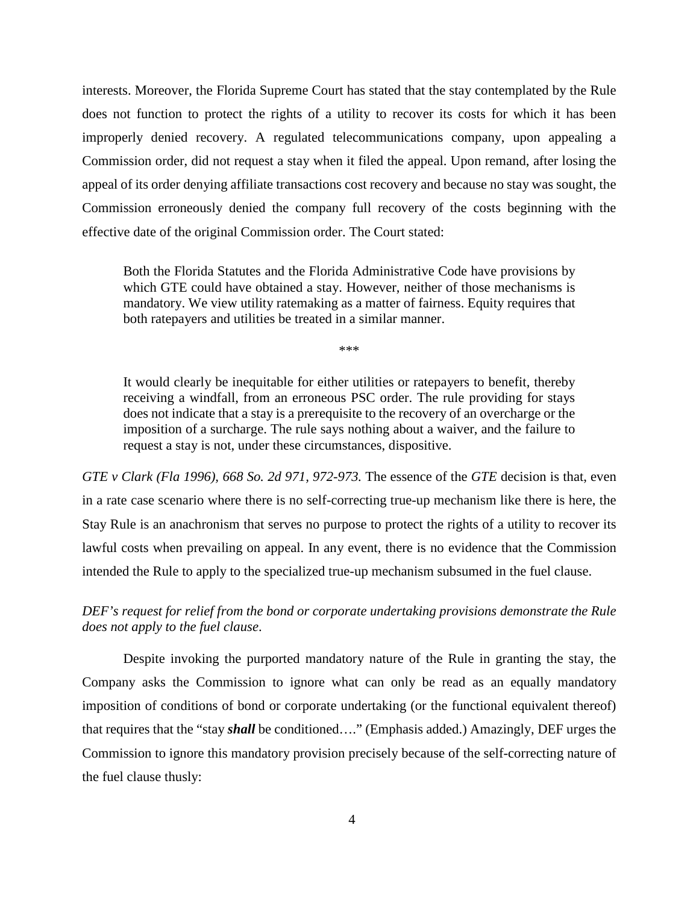interests. Moreover, the Florida Supreme Court has stated that the stay contemplated by the Rule does not function to protect the rights of a utility to recover its costs for which it has been improperly denied recovery. A regulated telecommunications company, upon appealing a Commission order, did not request a stay when it filed the appeal. Upon remand, after losing the appeal of its order denying affiliate transactions cost recovery and because no stay was sought, the Commission erroneously denied the company full recovery of the costs beginning with the effective date of the original Commission order. The Court stated:

Both the Florida Statutes and the Florida Administrative Code have provisions by which GTE could have obtained a stay. However, neither of those mechanisms is mandatory. We view utility ratemaking as a matter of fairness. Equity requires that both ratepayers and utilities be treated in a similar manner.

\*\*\*

It would clearly be inequitable for either utilities or ratepayers to benefit, thereby receiving a windfall, from an erroneous PSC order. The rule providing for stays does not indicate that a stay is a prerequisite to the recovery of an overcharge or the imposition of a surcharge. The rule says nothing about a waiver, and the failure to request a stay is not, under these circumstances, dispositive.

*GTE v Clark (Fla 1996), 668 So. 2d 971, 972-973.* The essence of the *GTE* decision is that, even in a rate case scenario where there is no self-correcting true-up mechanism like there is here, the Stay Rule is an anachronism that serves no purpose to protect the rights of a utility to recover its lawful costs when prevailing on appeal. In any event, there is no evidence that the Commission intended the Rule to apply to the specialized true-up mechanism subsumed in the fuel clause.

# *DEF's request for relief from the bond or corporate undertaking provisions demonstrate the Rule does not apply to the fuel clause*.

Despite invoking the purported mandatory nature of the Rule in granting the stay, the Company asks the Commission to ignore what can only be read as an equally mandatory imposition of conditions of bond or corporate undertaking (or the functional equivalent thereof) that requires that the "stay *shall* be conditioned…." (Emphasis added.) Amazingly, DEF urges the Commission to ignore this mandatory provision precisely because of the self-correcting nature of the fuel clause thusly: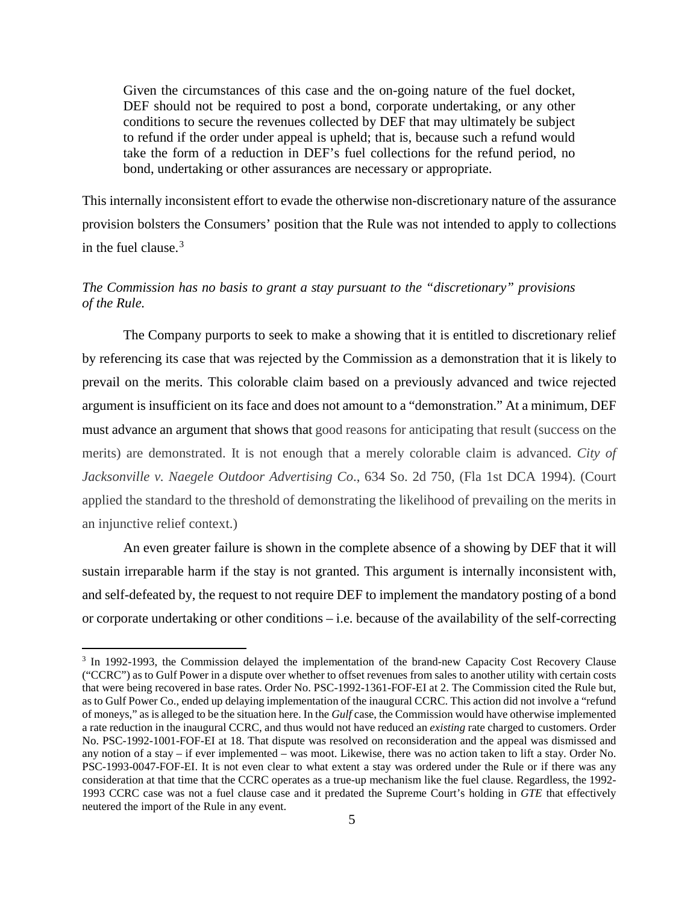Given the circumstances of this case and the on-going nature of the fuel docket, DEF should not be required to post a bond, corporate undertaking, or any other conditions to secure the revenues collected by DEF that may ultimately be subject to refund if the order under appeal is upheld; that is, because such a refund would take the form of a reduction in DEF's fuel collections for the refund period, no bond, undertaking or other assurances are necessary or appropriate.

This internally inconsistent effort to evade the otherwise non-discretionary nature of the assurance provision bolsters the Consumers' position that the Rule was not intended to apply to collections in the fuel clause.<sup>[3](#page-4-0)</sup>

# *The Commission has no basis to grant a stay pursuant to the "discretionary" provisions of the Rule.*

The Company purports to seek to make a showing that it is entitled to discretionary relief by referencing its case that was rejected by the Commission as a demonstration that it is likely to prevail on the merits. This colorable claim based on a previously advanced and twice rejected argument is insufficient on its face and does not amount to a "demonstration." At a minimum, DEF must advance an argument that shows that good reasons for anticipating that result (success on the merits) are demonstrated. It is not enough that a merely colorable claim is advanced. *City of Jacksonville v. Naegele Outdoor Advertising Co*., 634 So. 2d 750, (Fla 1st DCA 1994). (Court applied the standard to the threshold of demonstrating the likelihood of prevailing on the merits in an injunctive relief context.)

An even greater failure is shown in the complete absence of a showing by DEF that it will sustain irreparable harm if the stay is not granted. This argument is internally inconsistent with, and self-defeated by, the request to not require DEF to implement the mandatory posting of a bond or corporate undertaking or other conditions – i.e. because of the availability of the self-correcting

 $\overline{a}$ 

<span id="page-4-0"></span><sup>&</sup>lt;sup>3</sup> In 1992-1993, the Commission delayed the implementation of the brand-new Capacity Cost Recovery Clause ("CCRC") as to Gulf Power in a dispute over whether to offset revenues from sales to another utility with certain costs that were being recovered in base rates. Order No. PSC-1992-1361-FOF-EI at 2. The Commission cited the Rule but, as to Gulf Power Co., ended up delaying implementation of the inaugural CCRC. This action did not involve a "refund of moneys," as is alleged to be the situation here. In the *Gulf* case, the Commission would have otherwise implemented a rate reduction in the inaugural CCRC, and thus would not have reduced an *existing* rate charged to customers. Order No. PSC-1992-1001-FOF-EI at 18. That dispute was resolved on reconsideration and the appeal was dismissed and any notion of a stay – if ever implemented – was moot. Likewise, there was no action taken to lift a stay. Order No. PSC-1993-0047-FOF-EI. It is not even clear to what extent a stay was ordered under the Rule or if there was any consideration at that time that the CCRC operates as a true-up mechanism like the fuel clause. Regardless, the 1992- 1993 CCRC case was not a fuel clause case and it predated the Supreme Court's holding in *GTE* that effectively neutered the import of the Rule in any event.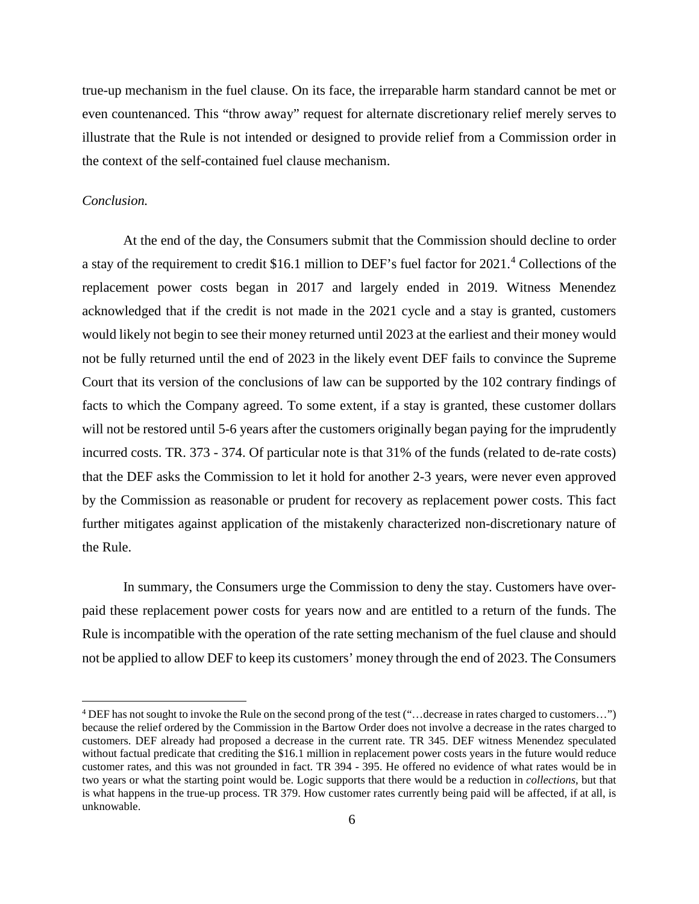true-up mechanism in the fuel clause. On its face, the irreparable harm standard cannot be met or even countenanced. This "throw away" request for alternate discretionary relief merely serves to illustrate that the Rule is not intended or designed to provide relief from a Commission order in the context of the self-contained fuel clause mechanism.

#### *Conclusion.*

 $\overline{a}$ 

At the end of the day, the Consumers submit that the Commission should decline to order a stay of the requirement to credit \$16.1 million to DEF's fuel factor for 2021.<sup>[4](#page-5-0)</sup> Collections of the replacement power costs began in 2017 and largely ended in 2019. Witness Menendez acknowledged that if the credit is not made in the 2021 cycle and a stay is granted, customers would likely not begin to see their money returned until 2023 at the earliest and their money would not be fully returned until the end of 2023 in the likely event DEF fails to convince the Supreme Court that its version of the conclusions of law can be supported by the 102 contrary findings of facts to which the Company agreed. To some extent, if a stay is granted, these customer dollars will not be restored until 5-6 years after the customers originally began paying for the imprudently incurred costs. TR. 373 - 374. Of particular note is that 31% of the funds (related to de-rate costs) that the DEF asks the Commission to let it hold for another 2-3 years, were never even approved by the Commission as reasonable or prudent for recovery as replacement power costs. This fact further mitigates against application of the mistakenly characterized non-discretionary nature of the Rule.

In summary, the Consumers urge the Commission to deny the stay. Customers have overpaid these replacement power costs for years now and are entitled to a return of the funds. The Rule is incompatible with the operation of the rate setting mechanism of the fuel clause and should not be applied to allow DEF to keep its customers' money through the end of 2023. The Consumers

<span id="page-5-0"></span><sup>4</sup> DEF has not sought to invoke the Rule on the second prong of the test ("…decrease in rates charged to customers…") because the relief ordered by the Commission in the Bartow Order does not involve a decrease in the rates charged to customers. DEF already had proposed a decrease in the current rate. TR 345. DEF witness Menendez speculated without factual predicate that crediting the \$16.1 million in replacement power costs years in the future would reduce customer rates, and this was not grounded in fact. TR 394 - 395. He offered no evidence of what rates would be in two years or what the starting point would be. Logic supports that there would be a reduction in *collections*, but that is what happens in the true-up process. TR 379. How customer rates currently being paid will be affected, if at all, is unknowable.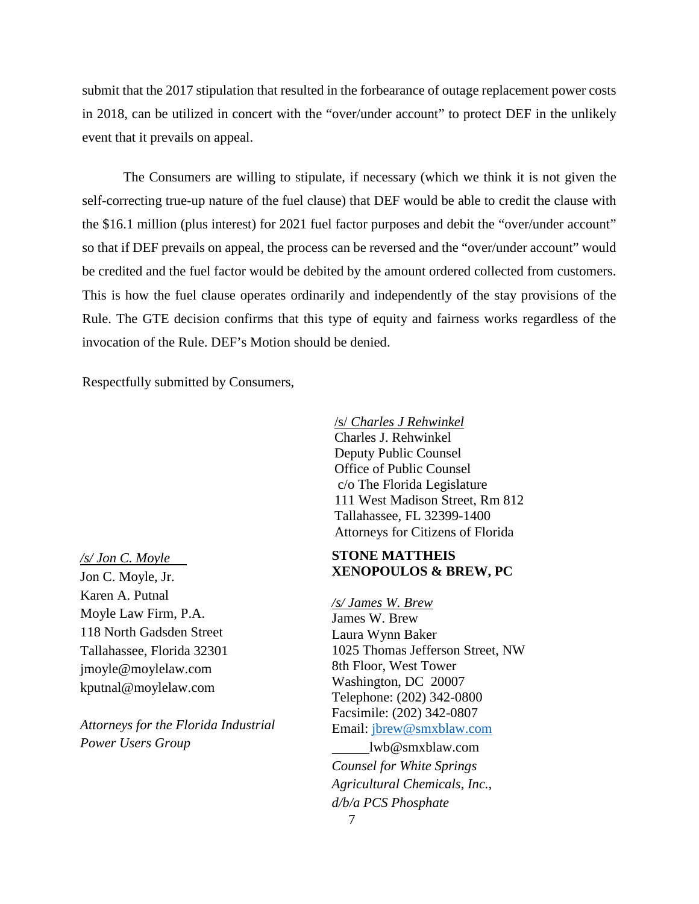submit that the 2017 stipulation that resulted in the forbearance of outage replacement power costs in 2018, can be utilized in concert with the "over/under account" to protect DEF in the unlikely event that it prevails on appeal.

The Consumers are willing to stipulate, if necessary (which we think it is not given the self-correcting true-up nature of the fuel clause) that DEF would be able to credit the clause with the \$16.1 million (plus interest) for 2021 fuel factor purposes and debit the "over/under account" so that if DEF prevails on appeal, the process can be reversed and the "over/under account" would be credited and the fuel factor would be debited by the amount ordered collected from customers. This is how the fuel clause operates ordinarily and independently of the stay provisions of the Rule. The GTE decision confirms that this type of equity and fairness works regardless of the invocation of the Rule. DEF's Motion should be denied.

Respectfully submitted by Consumers,

/s/ *Charles J Rehwinkel* Charles J. Rehwinkel Deputy Public Counsel Office of Public Counsel c/o The Florida Legislature 111 West Madison Street, Rm 812 Tallahassee, FL 32399-1400 Attorneys for Citizens of Florida

*/s/ Jon C. Moyle*  Jon C. Moyle, Jr. Karen A. Putnal Moyle Law Firm, P.A. 118 North Gadsden Street Tallahassee, Florida 32301 [jmoyle@moylelaw.com](mailto:jmoyle@moylelaw.com) [kputnal@moylelaw.com](mailto:kputnal@moylelaw.com)

*Attorneys for the Florida Industrial Power Users Group*

### **STONE MATTHEIS XENOPOULOS & BREW, PC**

*/s/ James W. Brew* James W. Brew Laura Wynn Baker 1025 Thomas Jefferson Street, NW 8th Floor, West Tower Washington, DC 20007 Telephone: (202) 342-0800 Facsimile: (202) 342-0807 Email: [jbrew@smxblaw.com](mailto:jbrew@smxblaw.com)

lwb@smxblaw.com *Counsel for White Springs Agricultural Chemicals, Inc., d/b/a PCS Phosphate*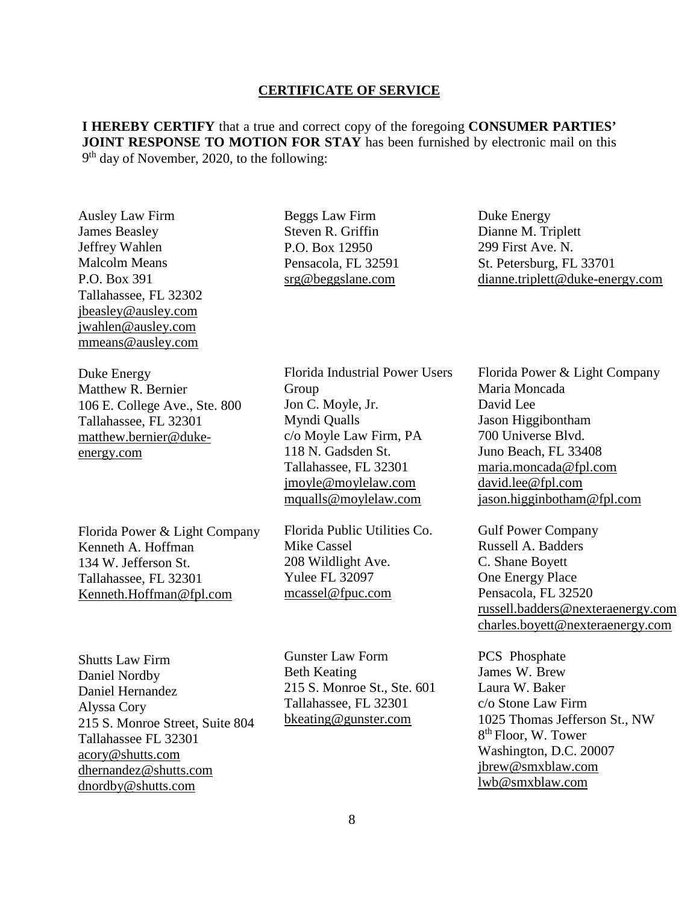#### **CERTIFICATE OF SERVICE**

**I HEREBY CERTIFY** that a true and correct copy of the foregoing **CONSUMER PARTIES' JOINT RESPONSE TO MOTION FOR STAY** has been furnished by electronic mail on this 9th day of November, 2020, to the following:

Ausley Law Firm James Beasley Jeffrey Wahlen Malcolm Means P.O. Box 391 Tallahassee, FL 32302 [jbeasley@ausley.com](mailto:jbeasley@ausley.com)  [jwahlen@ausley.com](mailto:jwahlen@ausley.com)  [mmeans@ausley.com](mailto:mmeans@ausley.com)

Duke Energy Matthew R. Bernier 106 E. College Ave., Ste. 800 Tallahassee, FL 32301 matthew.bernier@dukeenergy.com

Florida Power & Light Company Kenneth A. Hoffman 134 W. Jefferson St. Tallahassee, FL 32301 [Kenneth.Hoffman@fpl.com](mailto:ken.hoffman@fpl.com)

Shutts Law Firm Daniel Nordby Daniel Hernandez Alyssa Cory 215 S. Monroe Street, Suite 804 Tallahassee FL 32301 acory@shutts.com dhernandez@shutts.com dnordby@shutts.com

Beggs Law Firm Steven R. Griffin P.O. Box 12950 Pensacola, FL 32591 [srg@beggslane.com](mailto:srg@beggslane.com)

Florida Industrial Power Users Group Jon C. Moyle, Jr. Myndi Qualls c/o Moyle Law Firm, PA 118 N. Gadsden St. Tallahassee, FL 32301 [jmoyle@moylelaw.com](mailto:jmoyle@moylelaw.com) [mqualls@moylelaw.com](mailto:mqualls@moylelaw.com)

Florida Public Utilities Co. Mike Cassel 208 Wildlight Ave. Yulee FL 32097 [mcassel@fpuc.com](mailto:mcassel@fpuc.com)

Gunster Law Form Beth Keating 215 S. Monroe St., Ste. 601 Tallahassee, FL 32301 [bkeating@gunster.com](mailto:bkeating@gunster.com)

Duke Energy Dianne M. Triplett 299 First Ave. N. St. Petersburg, FL 33701 [dianne.triplett@duke-energy.com](mailto:dianne.triplett@duke-energy.com)

Florida Power & Light Company Maria Moncada David Lee Jason Higgibontham 700 Universe Blvd. Juno Beach, FL 33408 [maria.moncada@fpl.com](mailto:maria.moncada@fpl.com) [david.lee@fpl.com](mailto:david.lee@fpl.com) jason.higginbotham@fpl.com

Gulf Power Company Russell A. Badders C. Shane Boyett One Energy Place Pensacola, FL 32520 [russell.badders@nexteraenergy.com](mailto:russell.badders@nexteraenergy.com) [charles.boyett@nexteraenergy.com](mailto:charles.boyett@nexteraenergy.com)

PCS Phosphate James W. Brew Laura W. Baker c/o Stone Law Firm 1025 Thomas Jefferson St., NW 8th Floor, W. Tower Washington, D.C. 20007 [jbrew@smxblaw.com](mailto:jbrew@smxblaw.com) [lwb@smxblaw.com](mailto:lwb@smxblaw.com)